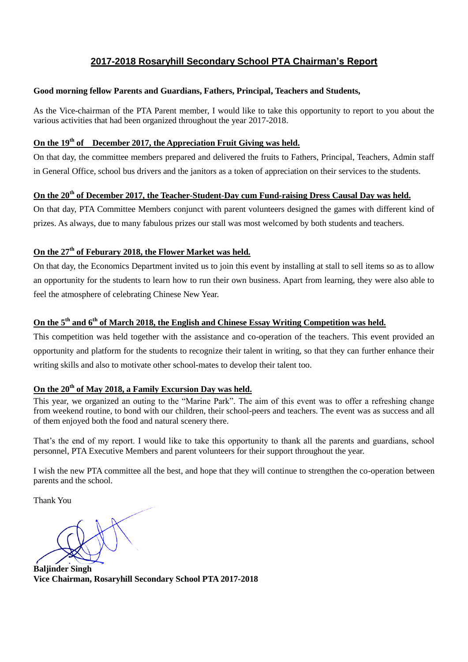# **2017-2018 Rosaryhill Secondary School PTA Chairman's Report**

#### **Good morning fellow Parents and Guardians, Fathers, Principal, Teachers and Students,**

As the Vice-chairman of the PTA Parent member, I would like to take this opportunity to report to you about the various activities that had been organized throughout the year 2017-2018.

## **On the 19th of December 2017, the Appreciation Fruit Giving was held.**

On that day, the committee members prepared and delivered the fruits to Fathers, Principal, Teachers, Admin staff in General Office, school bus drivers and the janitors as a token of appreciation on their services to the students.

## **On the 20th of December 2017, the Teacher-Student-Day cum Fund-raising Dress Causal Day was held.**

On that day, PTA Committee Members conjunct with parent volunteers designed the games with different kind of prizes. As always, due to many fabulous prizes our stall was most welcomed by both students and teachers.

## **On the 27th of Feburary 2018, the Flower Market was held.**

On that day, the Economics Department invited us to join this event by installing at stall to sell items so as to allow an opportunity for the students to learn how to run their own business. Apart from learning, they were also able to feel the atmosphere of celebrating Chinese New Year.

# **On the 5th and 6th of March 2018, the English and Chinese Essay Writing Competition was held.**

This competition was held together with the assistance and co-operation of the teachers. This event provided an opportunity and platform for the students to recognize their talent in writing, so that they can further enhance their writing skills and also to motivate other school-mates to develop their talent too.

### **On the 20th of May 2018, a Family Excursion Day was held.**

This year, we organized an outing to the "Marine Park". The aim of this event was to offer a refreshing change from weekend routine, to bond with our children, their school-peers and teachers. The event was as success and all of them enjoyed both the food and natural scenery there.

That's the end of my report. I would like to take this opportunity to thank all the parents and guardians, school personnel, PTA Executive Members and parent volunteers for their support throughout the year.

I wish the new PTA committee all the best, and hope that they will continue to strengthen the co-operation between parents and the school.

Thank You

**Baljinder Singh Vice Chairman, Rosaryhill Secondary School PTA 2017-2018**